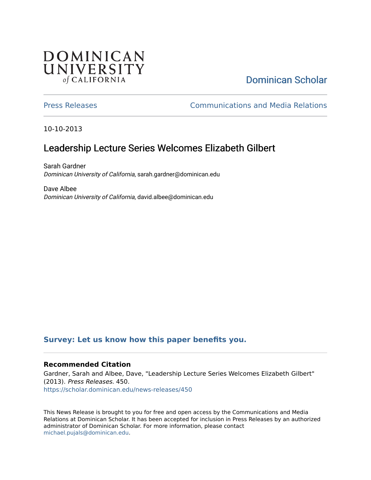## **DOMINICAN** UNIVERSITY of CALIFORNIA

# [Dominican Scholar](https://scholar.dominican.edu/)

[Press Releases](https://scholar.dominican.edu/news-releases) [Communications and Media Relations](https://scholar.dominican.edu/communications-media) 

10-10-2013

## Leadership Lecture Series Welcomes Elizabeth Gilbert

Sarah Gardner Dominican University of California, sarah.gardner@dominican.edu

Dave Albee Dominican University of California, david.albee@dominican.edu

#### **[Survey: Let us know how this paper benefits you.](https://dominican.libwizard.com/dominican-scholar-feedback)**

#### **Recommended Citation**

Gardner, Sarah and Albee, Dave, "Leadership Lecture Series Welcomes Elizabeth Gilbert" (2013). Press Releases. 450. [https://scholar.dominican.edu/news-releases/450](https://scholar.dominican.edu/news-releases/450?utm_source=scholar.dominican.edu%2Fnews-releases%2F450&utm_medium=PDF&utm_campaign=PDFCoverPages)

This News Release is brought to you for free and open access by the Communications and Media Relations at Dominican Scholar. It has been accepted for inclusion in Press Releases by an authorized administrator of Dominican Scholar. For more information, please contact [michael.pujals@dominican.edu.](mailto:michael.pujals@dominican.edu)